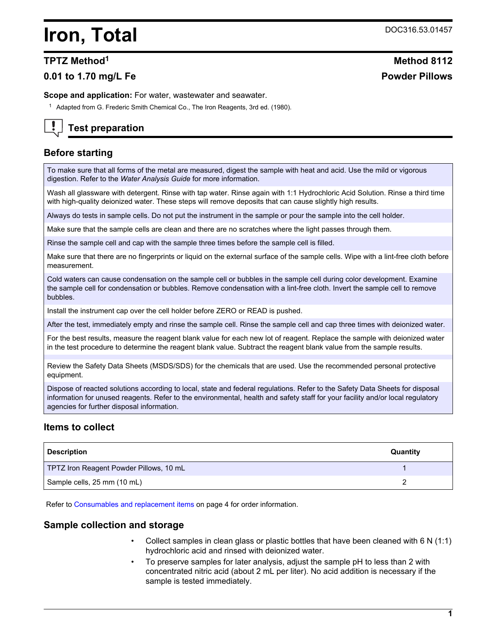## **Iron, Total** DOC316.53.01457

## **0.01 to 1.70 mg/L Fe Powder Pillows**

**Scope and application:** For water, wastewater and seawater.

<sup>1</sup> Adapted from G. Frederic Smith Chemical Co., The Iron Reagents, 3rd ed. (1980).

## **Test preparation**

## **Before starting**

To make sure that all forms of the metal are measured, digest the sample with heat and acid. Use the mild or vigorous digestion. Refer to the *Water Analysis Guide* for more information.

Wash all glassware with detergent. Rinse with tap water. Rinse again with 1:1 Hydrochloric Acid Solution. Rinse a third time with high-quality deionized water. These steps will remove deposits that can cause slightly high results.

Always do tests in sample cells. Do not put the instrument in the sample or pour the sample into the cell holder.

Make sure that the sample cells are clean and there are no scratches where the light passes through them.

Rinse the sample cell and cap with the sample three times before the sample cell is filled.

Make sure that there are no fingerprints or liquid on the external surface of the sample cells. Wipe with a lint-free cloth before measurement.

Cold waters can cause condensation on the sample cell or bubbles in the sample cell during color development. Examine the sample cell for condensation or bubbles. Remove condensation with a lint-free cloth. Invert the sample cell to remove bubbles.

Install the instrument cap over the cell holder before ZERO or READ is pushed.

After the test, immediately empty and rinse the sample cell. Rinse the sample cell and cap three times with deionized water.

For the best results, measure the reagent blank value for each new lot of reagent. Replace the sample with deionized water in the test procedure to determine the reagent blank value. Subtract the reagent blank value from the sample results.

Review the Safety Data Sheets (MSDS/SDS) for the chemicals that are used. Use the recommended personal protective equipment.

Dispose of reacted solutions according to local, state and federal regulations. Refer to the Safety Data Sheets for disposal information for unused reagents. Refer to the environmental, health and safety staff for your facility and/or local regulatory agencies for further disposal information.

### **Items to collect**

| <b>Description</b>                      | Quantity |
|-----------------------------------------|----------|
| TPTZ Iron Reagent Powder Pillows, 10 mL |          |
| Sample cells, 25 mm (10 mL)             |          |

Refer to [Consumables and replacement items](#page-3-0) on page 4 for order information.

#### **Sample collection and storage**

- Collect samples in clean glass or plastic bottles that have been cleaned with 6 N (1:1) hydrochloric acid and rinsed with deionized water.
- To preserve samples for later analysis, adjust the sample pH to less than 2 with concentrated nitric acid (about 2 mL per liter). No acid addition is necessary if the sample is tested immediately.

# **TPTZ Method<sup>1</sup> Method 8112**

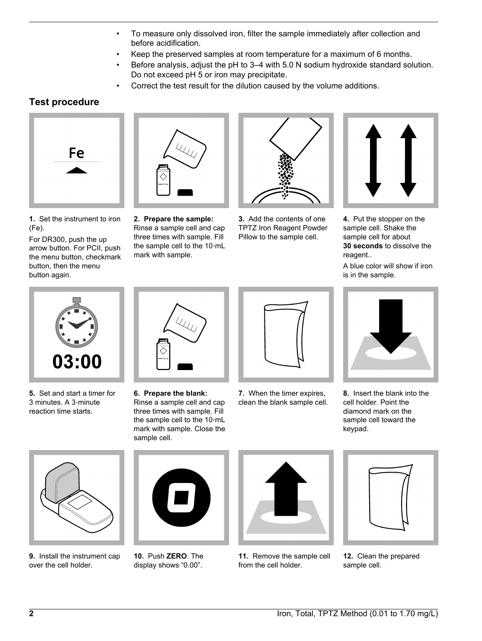- To measure only dissolved iron, filter the sample immediately after collection and before acidification.
- Keep the preserved samples at room temperature for a maximum of 6 months.
- Before analysis, adjust the pH to 3-4 with 5.0 N sodium hydroxide standard solution. Do not exceed pH 5 or iron may precipitate.
- Correct the test result for the dilution caused by the volume additions.

## **Test procedure**



**1.** Set the instrument to iron (Fe).

For DR300, push the up arrow button. For PCII, push the menu button, checkmark button, then the menu button again.



**2. Prepare the sample:** Rinse a sample cell and cap three times with sample. Fill the sample cell to the 10‑mL mark with sample.



**3.** Add the contents of one TPTZ Iron Reagent Powder Pillow to the sample cell.



**4.** Put the stopper on the sample cell. Shake the sample cell for about **30 seconds** to dissolve the reagent..

A blue color will show if iron is in the sample.



**5.** Set and start a timer for 3 minutes. A 3‑minute reaction time starts.



**6. Prepare the blank:** Rinse a sample cell and cap three times with sample. Fill the sample cell to the 10‑mL mark with sample. Close the sample cell.



**7.** When the timer expires, clean the blank sample cell.



**8.** Insert the blank into the cell holder. Point the diamond mark on the sample cell toward the keypad.



**9.** Install the instrument cap over the cell holder.



**10.** Push **ZERO**. The display shows "0.00".



**11.** Remove the sample cell from the cell holder.



**12.** Clean the prepared sample cell.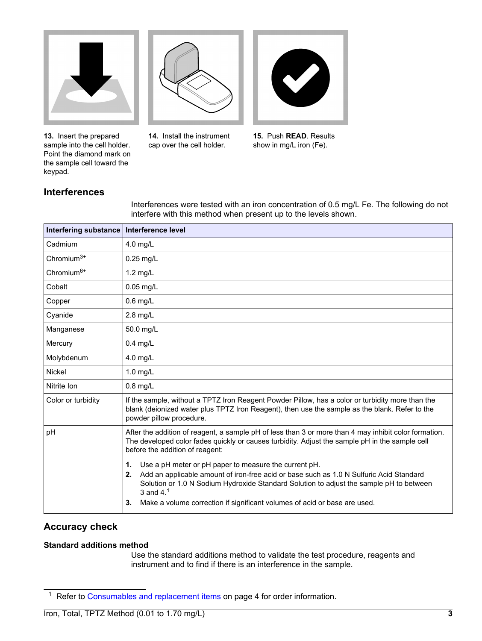

**13.** Insert the prepared sample into the cell holder. Point the diamond mark on the sample cell toward the keypad.

**14.** Install the instrument cap over the cell holder.



**15.** Push **READ**. Results show in mg/L iron (Fe).

## **Interferences**

Interferences were tested with an iron concentration of 0.5 mg/L Fe. The following do not interfere with this method when present up to the levels shown.

| <b>Interfering substance</b> | Interference level                                                                                                                                                                                                                                                                                                                                        |
|------------------------------|-----------------------------------------------------------------------------------------------------------------------------------------------------------------------------------------------------------------------------------------------------------------------------------------------------------------------------------------------------------|
| Cadmium                      | $4.0$ mg/L                                                                                                                                                                                                                                                                                                                                                |
| Chromium <sup>3+</sup>       | $0.25$ mg/L                                                                                                                                                                                                                                                                                                                                               |
| Chromium <sup>6+</sup>       | $1.2$ mg/L                                                                                                                                                                                                                                                                                                                                                |
| Cobalt                       | $0.05$ mg/L                                                                                                                                                                                                                                                                                                                                               |
| Copper                       | $0.6$ mg/L                                                                                                                                                                                                                                                                                                                                                |
| Cyanide                      | $2.8$ mg/L                                                                                                                                                                                                                                                                                                                                                |
| Manganese                    | 50.0 mg/L                                                                                                                                                                                                                                                                                                                                                 |
| Mercury                      | $0.4$ mg/L                                                                                                                                                                                                                                                                                                                                                |
| Molybdenum                   | 4.0 mg/L                                                                                                                                                                                                                                                                                                                                                  |
| Nickel                       | $1.0$ mg/L                                                                                                                                                                                                                                                                                                                                                |
| Nitrite Ion                  | $0.8$ mg/L                                                                                                                                                                                                                                                                                                                                                |
| Color or turbidity           | If the sample, without a TPTZ Iron Reagent Powder Pillow, has a color or turbidity more than the<br>blank (deionized water plus TPTZ Iron Reagent), then use the sample as the blank. Refer to the<br>powder pillow procedure.                                                                                                                            |
| pH                           | After the addition of reagent, a sample pH of less than 3 or more than 4 may inhibit color formation.<br>The developed color fades quickly or causes turbidity. Adjust the sample pH in the sample cell<br>before the addition of reagent:                                                                                                                |
|                              | Use a pH meter or pH paper to measure the current pH.<br>1.<br>Add an applicable amount of iron-free acid or base such as 1.0 N Sulfuric Acid Standard<br>2.<br>Solution or 1.0 N Sodium Hydroxide Standard Solution to adjust the sample pH to between<br>3 and $4.1$<br>Make a volume correction if significant volumes of acid or base are used.<br>3. |

## **Accuracy check**

#### **Standard additions method**

Use the standard additions method to validate the test procedure, reagents and instrument and to find if there is an interference in the sample.

<sup>&</sup>lt;sup>1</sup> Refer to [Consumables and replacement items](#page-3-0) on page 4 for order information.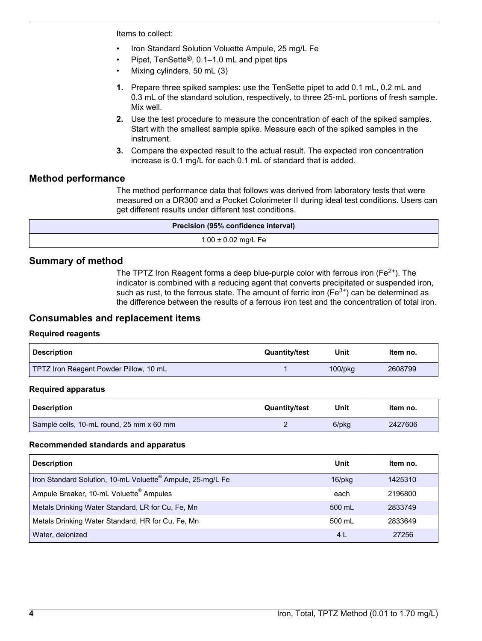<span id="page-3-0"></span>Items to collect:

- Iron Standard Solution Voluette Ampule, 25 mg/L Fe
- Pipet, TenSette®, 0.1–1.0 mL and pipet tips
- Mixing cylinders, 50 mL (3)
- **1.** Prepare three spiked samples: use the TenSette pipet to add 0.1 mL, 0.2 mL and 0.3 mL of the standard solution, respectively, to three 25-mL portions of fresh sample. Mix well.
- **2.** Use the test procedure to measure the concentration of each of the spiked samples. Start with the smallest sample spike. Measure each of the spiked samples in the instrument.
- **3.** Compare the expected result to the actual result. The expected iron concentration increase is 0.1 mg/L for each 0.1 mL of standard that is added.

#### **Method performance**

The method performance data that follows was derived from laboratory tests that were measured on a DR300 and a Pocket Colorimeter II during ideal test conditions. Users can get different results under different test conditions.

| Precision (95% confidence interval) |
|-------------------------------------|
| $1.00 \pm 0.02$ mg/L Fe             |

#### **Summary of method**

The TPTZ Iron Reagent forms a deep blue-purple color with ferrous iron ( $Fe<sup>2+</sup>$ ). The indicator is combined with a reducing agent that converts precipitated or suspended iron, such as rust, to the ferrous state. The amount of ferric iron ( $Fe<sup>3+</sup>$ ) can be determined as the difference between the results of a ferrous iron test and the concentration of total iron.

#### **Consumables and replacement items**

#### **Required reagents**

| Description                            | <b>Quantity/test</b> | Unit          | ltem no. |
|----------------------------------------|----------------------|---------------|----------|
| TPTZ Iron Reagent Powder Pillow, 10 mL |                      | $100$ /p $kg$ | 2608799  |

#### **Required apparatus**

| <b>Description</b>                       | <b>Quantity/test</b> | Unit  | Item no. |
|------------------------------------------|----------------------|-------|----------|
| Sample cells, 10-mL round, 25 mm x 60 mm |                      | 6/pkg | 2427606  |

#### **Recommended standards and apparatus**

| <b>Description</b>                                                     | Unit   | Item no. |
|------------------------------------------------------------------------|--------|----------|
| Iron Standard Solution, 10-mL Voluette <sup>®</sup> Ampule, 25-mg/L Fe | 16/pkg | 1425310  |
| Ampule Breaker, 10-mL Voluette® Ampules                                | each   | 2196800  |
| Metals Drinking Water Standard, LR for Cu, Fe, Mn                      | 500 mL | 2833749  |
| Metals Drinking Water Standard, HR for Cu, Fe, Mn                      | 500 mL | 2833649  |
| Water, deionized                                                       | 4 L    | 27256    |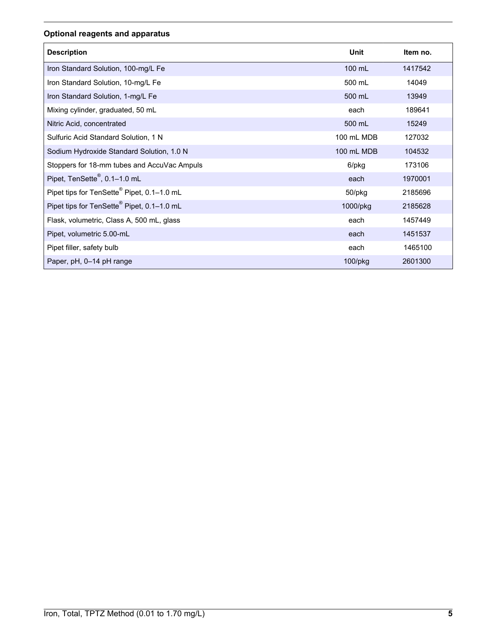## **Optional reagents and apparatus**

| <b>Description</b>                                     | Unit       | Item no. |
|--------------------------------------------------------|------------|----------|
| Iron Standard Solution, 100-mg/L Fe                    | 100 mL     | 1417542  |
| Iron Standard Solution, 10-mg/L Fe                     | 500 mL     | 14049    |
| Iron Standard Solution, 1-mg/L Fe                      | 500 mL     | 13949    |
| Mixing cylinder, graduated, 50 mL                      | each       | 189641   |
| Nitric Acid, concentrated                              | 500 mL     | 15249    |
| Sulfuric Acid Standard Solution, 1 N                   | 100 mL MDB | 127032   |
| Sodium Hydroxide Standard Solution, 1.0 N              | 100 mL MDB | 104532   |
| Stoppers for 18-mm tubes and AccuVac Ampuls            | 6/pkg      | 173106   |
| Pipet, TenSette <sup>®</sup> , 0.1-1.0 mL              | each       | 1970001  |
| Pipet tips for TenSette <sup>®</sup> Pipet, 0.1-1.0 mL | 50/pkg     | 2185696  |
| Pipet tips for TenSette® Pipet, 0.1-1.0 mL             | 1000/pkg   | 2185628  |
| Flask, volumetric, Class A, 500 mL, glass              | each       | 1457449  |
| Pipet, volumetric 5.00-mL                              | each       | 1451537  |
| Pipet filler, safety bulb                              | each       | 1465100  |
| Paper, pH, 0-14 pH range                               | $100$ /pkg | 2601300  |